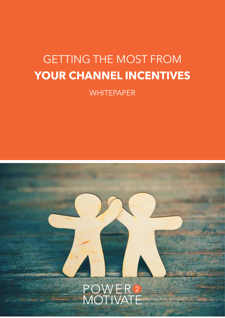# GETTING THE MOST FROM **YOUR CHANNEL INCENTIVES**

**WHITEPAPER** 

# POWER<sup>2</sup><br>MOTIVATE

**1.** GETTING THE MOST FROM YOUR CHANNEL INCENTIVES | power2motivate.com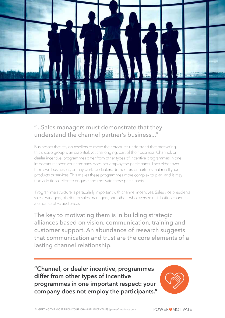

#### "...Sales managers must demonstrate that they understand the channel partner's business..."

Businesses that rely on resellers to move their products understand that motivating this elusive group is an essential, yet challenging, part of their business. Channel, or dealer incentive, programmes differ from other types of incentive programmes in one important respect: your company does not employ the participants. They either own their own businesses, or they work for dealers, distributors or partners that resell your products or services. This makes these programmes more complex to plan, and it may take additional effort to engage and motivate those participants.

 Programme structure is particularly important with channel incentives. Sales vice presidents, sales managers, distributor sales managers, and others who oversee distribution channels are non-captive audiences.

The key to motivating them is in building strategic alliances based on vision, communication, training and customer support. An abundance of research suggests that communication and trust are the core elements of a lasting channel relationship.

**"Channel, or dealer incentive, programmes differ from other types of incentive programmes in one important respect: your company does not employ the participants."**

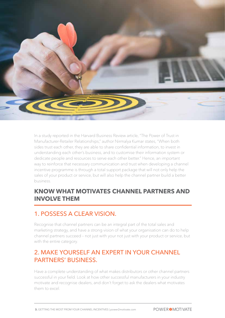

In a study reported in the Harvard Business Review article, "The Power of Trust in Manufacturer-Retailer Relationships," author Nirmalya Kumar states, "When both sides trust each other, they are able to share confidential information, to invest in understanding each other's business, and to customise their information system or dedicate people and resources to serve each other better." Hence, an important way to reinforce that necessary communication and trust when developing a channel incentive programme is through a total support package that will not only help the sales of your product or service, but will also help the channel partner build a better business.

#### **KNOW WHAT MOTIVATES CHANNEL PARTNERS AND INVOLVE THEM**

#### 1. POSSESS A CLEAR VISION.

Recognise that channel partners can be an integral part of the total sales and marketing strategy, and have a strong vision of what your organisation can do to help channel partners succeed – not just with your not just with your product or service, but with the entire category.

#### 2. MAKE YOURSELF AN EXPERT IN YOUR CHANNEL PARTNERS' BUSINESS.

Have a complete understanding of what makes distributors or other channel partners successful in your field. Look at how other successful manufacturers in your industry motivate and recognise dealers, and don't forget to ask the dealers what motivates them to excel.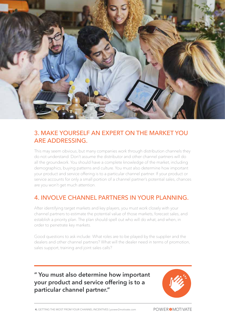

#### 3. MAKE YOURSELF AN EXPERT ON THE MARKET YOU ARE ADDRESSING.

This may seem obvious, but many companies work through distribution channels they do not understand. Don't assume the distributor and other channel partners will do all the groundwork. You should have a complete knowledge of the market, including demographics, buying patterns and culture. You must also determine how important your product and service offering is to a particular channel partner. If your product or service accounts for only a small portion of a channel partner's potential sales, chances are you won't get much attention.

#### 4. INVOLVE CHANNEL PARTNERS IN YOUR PLANNING.

After identifying target markets and key players, you must work closely with your channel partners to estimate the potential value of those markets, forecast sales, and establish a priority plan. The plan should spell out who will do what, and when, in order to penetrate key markets.

Good questions to ask include: What roles are to be played by the supplier and the dealers and other channel partners? What will the dealer need in terms of promotion, sales support, training and joint sales calls?

**" You must also determine how important your product and service offering is to a particular channel partner."**

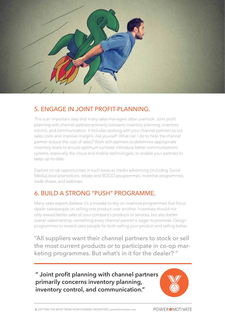

# 5. ENGAGE IN JOINT PROFIT-PLANNING.

This is an important step that many sales managers often overlook. Joint profit planning with channel partners primarily concerns inventory planning, inventory control, and communication. It includes working with your channel partners to cut sales costs and improve margins. Ask yourself: What can I do to help the channel partner reduce the cost of sales? Work with partners to determine appropriate inventory levels to ensure optimum turnover. Introduce better communications systems, especially the cloud and mobile technologies, to enable your partners to keep up-to-date.

Explore co-op opportunities in such areas as media advertising (including Social Media),local promotions, rebate and BOGO programmes, incentive programmes, trade shows, and webinars.

# 6. BUILD A STRONG "PUSH" PROGRAMME.

Many sales experts believe it's a mistake to rely on incentive programmes that focus dealer salespeople on selling one product over another. Incentives should not only reward better sales of your company's products or services, but also better overall salesmanship, something every channel partner is eager to promote. Design programmes to reward sales people for both selling your product and selling better.

"All suppliers want their channel partners to stock or sell the most current products or to participate in co-op marketing programmes. But what's in it for the dealer? "

#### **" Joint profit planning with channel partners primarily concerns inventory planning, inventory control, and communication."**

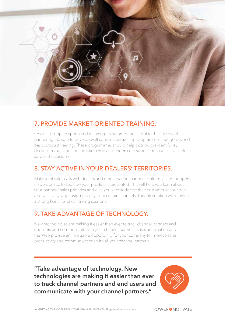

# 7. PROVIDE MARKET-ORIENTED TRAINING.

Ongoing supplier-sponsored training programmes are critical to the success of partnering. Be sure to develop well constructed training programmes that go beyond basic product training. These programmes should help distributors identify key decision makers, outline the sales cycle and underscore supplier resources available to service the customer.

#### 8. STAY ACTIVE IN YOUR DEALERS' TERRITORIES.

Make joint sales calls with dealers and other channel partners. Enlist mystery shoppers, if appropriate, to see how your product is presented. This will help you learn about your partners' sales priorities and give you knowledge of their customer accounts. It also will clarify why customers buy from certain channels. This information will provide a strong basis for sales training sessions.

# 9. TAKE ADVANTAGE OF TECHNOLOGY.

New technologies are making it easier than ever to track channel partners and endusers and communicate with your channel partners. Sales automation and the Web provide an invaluable opportunity for your company to improve sales productivity and communications with all your channel partners.

**"Take advantage of technology. New technologies are making it easier than ever to track channel partners and end users and communicate with your channel partners."**

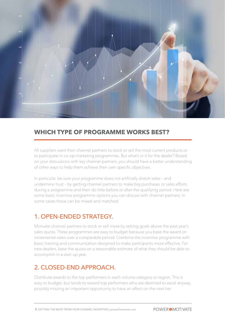

#### **WHICH TYPE OF PROGRAMME WORKS BEST?**

All suppliers want their channel partners to stock or sell the most current products or to participate in co-op marketing programmes. But what's in it for the dealer? Based on your discussions with key channel partners, you should have a better understanding of other ways to help them achieve their own specific objectives.

In particular, be sure your programme does not artificially distort sales – and undermine trust – by getting channel partners to make big purchases or sales efforts during a programme and then do little before or after the qualifying period. Here are some basic incentive programme options you can discuss with channel partners; In some cases these can be mixed and matched:

#### 1. OPEN-ENDED STRATEGY.

Motivate channel partners to stock or sell more by setting goals above the past year's sales quota. These programmes are easy to budget because you base the award on incremental sales over a comparable period. Combine the incentive programme with basic training and communication designed to make participants more effective. For new dealers, base the quota on a reasonable estimate of what they should be able to accomplish in a start-up year.

#### 2. CLOSED-END APPROACH.

Distribute awards to the top performers in each volume category or region. This is easy to budget, but tends to reward top performers who are destined to excel anyway, possibly missing an important opportunity to have an effect on the next tier.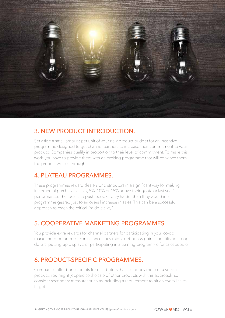

# 3. NEW PRODUCT INTRODUCTION.

Set aside a small amount per unit of your new product budget for an incentive programme designed to get channel partners to increase their commitment to your product. Companies qualify in proportion to their level of commitment. To make this work, you have to provide them with an exciting programme that will convince them the product will sell through.

#### 4. PLATEAU PROGRAMMES.

These programmes reward dealers or distributors in a significant way for making incremental purchases at, say, 5%, 10% or 15% above their quota or last year's performance. The idea is to push people to try harder than they would in a programme geared just to an overall increase in sales. This can be a successful approach to reach the critical "middle sixty."

# 5. COOPERATIVE MARKETING PROGRAMMES.

You provide extra rewards for channel partners for participating in your co-op marketing programmes. For instance, they might get bonus points for utilising co-op dollars, putting up displays, or participating in a training programme for salespeople.

# 6. PRODUCT-SPECIFIC PROGRAMMES.

Companies offer bonus points for distributors that sell or buy more of a specific product. You might jeopardise the sale of other products with this approach, so consider secondary measures such as including a requirement to hit an overall sales target.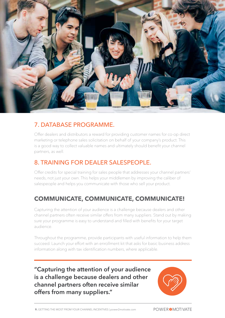

#### 7. DATABASE PROGRAMME.

Offer dealers and distributors a reward for providing customer names for co-op direct marketing or telephone sales solicitation on behalf of your company's product. This is a good way to collect valuable names and ultimately should benefit your channel partners, as well.

# 8. TRAINING FOR DEALER SALESPEOPLE.

Offer credits for special training for sales people that addresses your channel partners' needs, not just your own. This helps your middlemen by improving the caliber of salespeople and helps you communicate with those who sell your product.

# **COMMUNICATE, COMMUNICATE, COMMUNICATE!**

Capturing the attention of your audience is a challenge because dealers and other channel partners often receive similar offers from many suppliers. Stand out by making sure your programme is easy to understand and filled with benefits for your target audience.

Throughout the programme, provide participants with useful information to help them succeed. Launch your effort with an enrollment kit that asks for basic business address information along with tax identification numbers, where applicable.

**"Capturing the attention of your audience is a challenge because dealers and other channel partners often receive similar offers from many suppliers."**

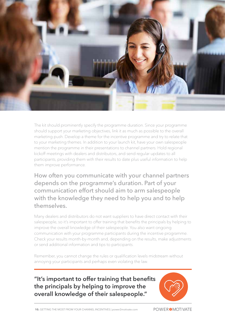

The kit should prominently specify the programme duration. Since your programme should support your marketing objectives, link it as much as possible to the overall marketing push. Develop a theme for the incentive programme and try to relate that to your marketing themes. In addition to your launch kit, have your own salespeople mention the programme in their presentations to channel partners. Hold regional kickoff meetings with dealers and distributors, and send regular updates to all participants, providing them with their results to date plus useful information to help them improve performance.

How often you communicate with your channel partners depends on the programme's duration. Part of your communication effort should aim to arm salespeople with the knowledge they need to help you and to help themselves.

Many dealers and distributors do not want suppliers to have direct contact with their salespeople, so it's important to offer training that benefits the principals by helping to improve the overall knowledge of their salespeople. You also want ongoing communication with your programme participants during the incentive programme. Check your results month-by-month and, depending on the results, make adjustments or send additional information and tips to participants.

Remember, you cannot change the rules or qualification levels midstream without annoying your participants and perhaps even violating the law.

**"It's important to offer training that benefits the principals by helping to improve the overall knowledge of their salespeople."**

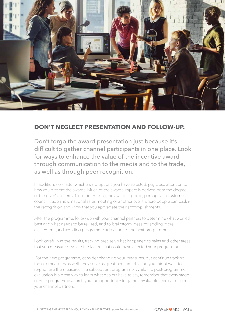

#### **DON'T NEGLECT PRESENTATION AND FOLLOW-UP.**

Don't forgo the award presentation just because it's difficult to gather channel participants in one place. Look for ways to enhance the value of the incentive award through communication to the media and to the trade, as well as through peer recognition.

In addition, no matter which award options you have selected, pay close attention to how you present the awards. Much of the awards impact is derived from the degree of the giver's sincerity. Consider making the award in public, perhaps at a customer council, trade show, national sales meeting or another event where people can bask in the recognition and know that you appreciate their accomplishments.

After the programme, follow up with your channel partners to determine what worked best and what needs to be revised, and to brainstorm ideas for adding more excitement (and avoiding programme addiction) to the next programme.

Look carefully at the results, tracking precisely what happened to sales and other areas that you measured. Isolate the factors that could have affected your programme.

 For the next programme, consider changing your measures, but continue tracking the old measures as well. They serve as great benchmarks, and you might want to re-prioritise the measures in a subsequent programme. While the post-programme evaluation is a great way to learn what dealers have to say, remember that every stage of your programme affords you the opportunity to garner invaluable feedback from your channel partners.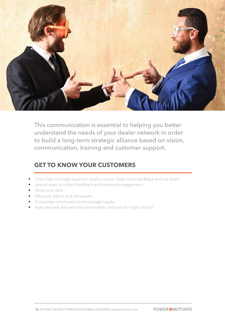

This communication is essential to helping you better understand the needs of your dealer network in order to build a long-term strategic alliance based on vision, communication, training and customer support.

#### **GET TO KNOW YOUR CUSTOMERS**

- Don't rely on single question loyalty surveys. Seek more feedback and set down
- several ways to collect feedback and measure engagement.
- Mine your data.
- Measure, adjust and remeasure.
- Encourage employees to encourage loyalty.
- Keep rewards relevant and personable, and pick the right vendor.